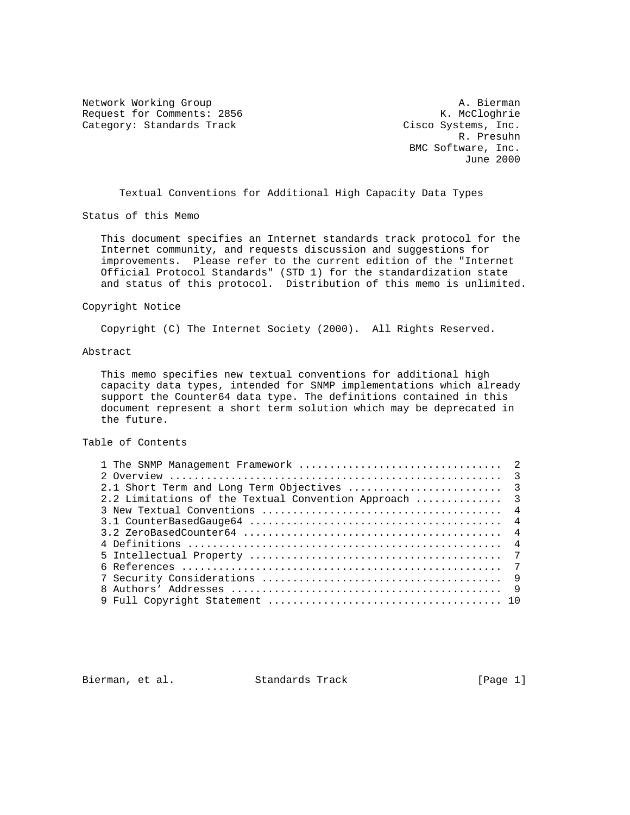Network Working Group (A. Bierman (A. Bierman (A. Bierman (A. Bierman (A. Bierman (A. Bierman (A. Bierman (A. Bierman (A. Bierman (A. Bierman (A. Bierman (A. Bierman (A. Bierman (A. Bierman (A. Bierman (A. Bierman (A. Bier Request for Comments: 2856 Category: Standards Track Cisco Systems, Inc.

 R. Presuhn BMC Software, Inc. June 2000

Textual Conventions for Additional High Capacity Data Types

Status of this Memo

 This document specifies an Internet standards track protocol for the Internet community, and requests discussion and suggestions for improvements. Please refer to the current edition of the "Internet Official Protocol Standards" (STD 1) for the standardization state and status of this protocol. Distribution of this memo is unlimited.

## Copyright Notice

Copyright (C) The Internet Society (2000). All Rights Reserved.

# Abstract

 This memo specifies new textual conventions for additional high capacity data types, intended for SNMP implementations which already support the Counter64 data type. The definitions contained in this document represent a short term solution which may be deprecated in the future.

# Table of Contents

| 2.2 Limitations of the Textual Convention Approach  3 |  |
|-------------------------------------------------------|--|
|                                                       |  |
|                                                       |  |
|                                                       |  |
|                                                       |  |
|                                                       |  |
|                                                       |  |
|                                                       |  |
|                                                       |  |
|                                                       |  |

Bierman, et al. Standards Track [Page 1]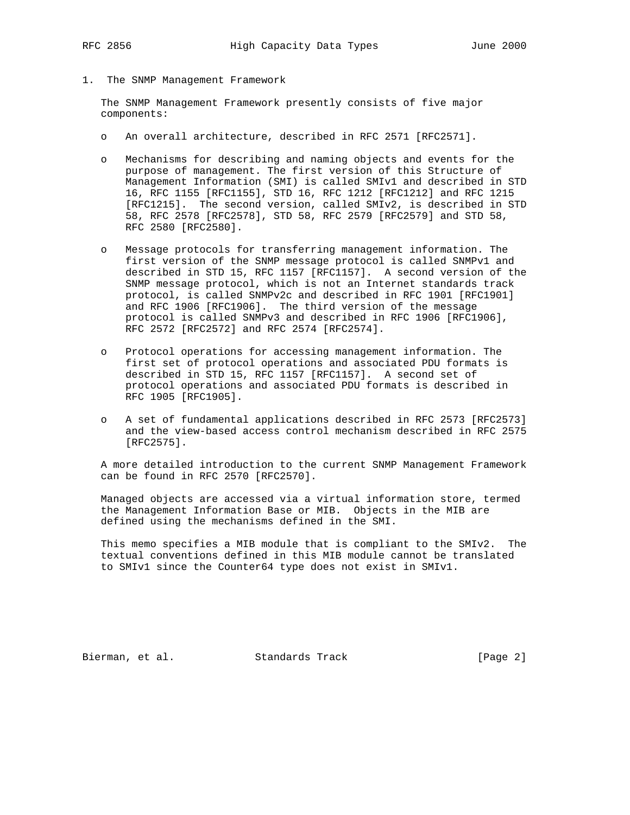1. The SNMP Management Framework

 The SNMP Management Framework presently consists of five major components:

- o An overall architecture, described in RFC 2571 [RFC2571].
- o Mechanisms for describing and naming objects and events for the purpose of management. The first version of this Structure of Management Information (SMI) is called SMIv1 and described in STD 16, RFC 1155 [RFC1155], STD 16, RFC 1212 [RFC1212] and RFC 1215 [RFC1215]. The second version, called SMIv2, is described in STD 58, RFC 2578 [RFC2578], STD 58, RFC 2579 [RFC2579] and STD 58, RFC 2580 [RFC2580].
- o Message protocols for transferring management information. The first version of the SNMP message protocol is called SNMPv1 and described in STD 15, RFC 1157 [RFC1157]. A second version of the SNMP message protocol, which is not an Internet standards track protocol, is called SNMPv2c and described in RFC 1901 [RFC1901] and RFC 1906 [RFC1906]. The third version of the message protocol is called SNMPv3 and described in RFC 1906 [RFC1906], RFC 2572 [RFC2572] and RFC 2574 [RFC2574].
- o Protocol operations for accessing management information. The first set of protocol operations and associated PDU formats is described in STD 15, RFC 1157 [RFC1157]. A second set of protocol operations and associated PDU formats is described in RFC 1905 [RFC1905].
- o A set of fundamental applications described in RFC 2573 [RFC2573] and the view-based access control mechanism described in RFC 2575 [RFC2575].

 A more detailed introduction to the current SNMP Management Framework can be found in RFC 2570 [RFC2570].

 Managed objects are accessed via a virtual information store, termed the Management Information Base or MIB. Objects in the MIB are defined using the mechanisms defined in the SMI.

 This memo specifies a MIB module that is compliant to the SMIv2. The textual conventions defined in this MIB module cannot be translated to SMIv1 since the Counter64 type does not exist in SMIv1.

Bierman, et al. Standards Track [Page 2]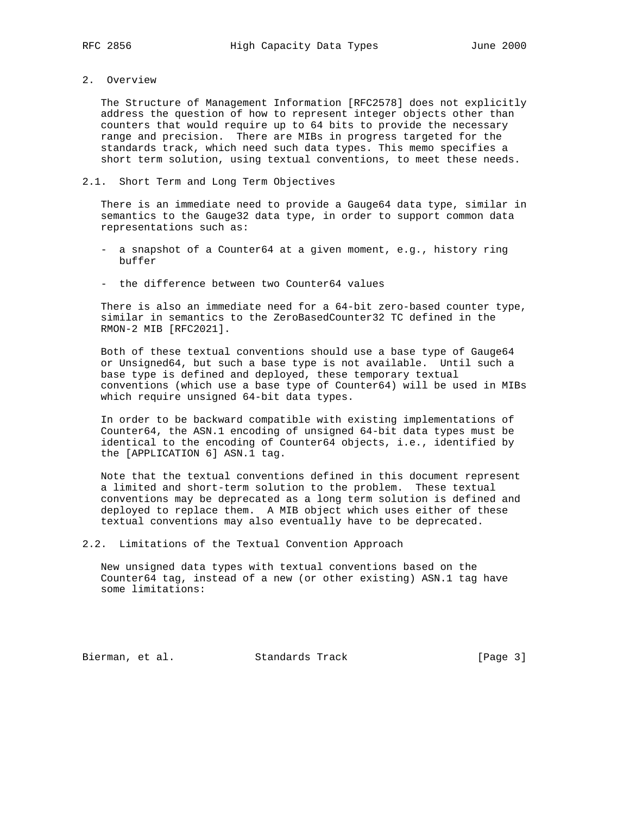2. Overview

 The Structure of Management Information [RFC2578] does not explicitly address the question of how to represent integer objects other than counters that would require up to 64 bits to provide the necessary range and precision. There are MIBs in progress targeted for the standards track, which need such data types. This memo specifies a short term solution, using textual conventions, to meet these needs.

#### 2.1. Short Term and Long Term Objectives

 There is an immediate need to provide a Gauge64 data type, similar in semantics to the Gauge32 data type, in order to support common data representations such as:

- a snapshot of a Counter64 at a given moment, e.g., history ring buffer
- the difference between two Counter64 values

 There is also an immediate need for a 64-bit zero-based counter type, similar in semantics to the ZeroBasedCounter32 TC defined in the RMON-2 MIB [RFC2021].

 Both of these textual conventions should use a base type of Gauge64 or Unsigned64, but such a base type is not available. Until such a base type is defined and deployed, these temporary textual conventions (which use a base type of Counter64) will be used in MIBs which require unsigned 64-bit data types.

 In order to be backward compatible with existing implementations of Counter64, the ASN.1 encoding of unsigned 64-bit data types must be identical to the encoding of Counter64 objects, i.e., identified by the [APPLICATION 6] ASN.1 tag.

 Note that the textual conventions defined in this document represent a limited and short-term solution to the problem. These textual conventions may be deprecated as a long term solution is defined and deployed to replace them. A MIB object which uses either of these textual conventions may also eventually have to be deprecated.

2.2. Limitations of the Textual Convention Approach

 New unsigned data types with textual conventions based on the Counter64 tag, instead of a new (or other existing) ASN.1 tag have some limitations:

Bierman, et al. Standards Track [Page 3]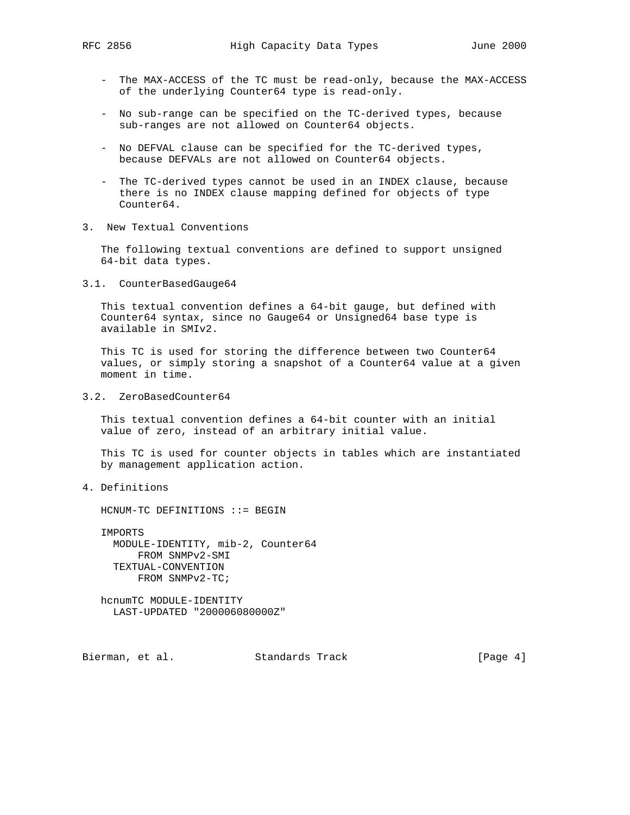- The MAX-ACCESS of the TC must be read-only, because the MAX-ACCESS of the underlying Counter64 type is read-only.
- No sub-range can be specified on the TC-derived types, because sub-ranges are not allowed on Counter64 objects.
- No DEFVAL clause can be specified for the TC-derived types, because DEFVALs are not allowed on Counter64 objects.
- The TC-derived types cannot be used in an INDEX clause, because there is no INDEX clause mapping defined for objects of type Counter64.
- 3. New Textual Conventions

 The following textual conventions are defined to support unsigned 64-bit data types.

3.1. CounterBasedGauge64

 This textual convention defines a 64-bit gauge, but defined with Counter64 syntax, since no Gauge64 or Unsigned64 base type is available in SMIv2.

 This TC is used for storing the difference between two Counter64 values, or simply storing a snapshot of a Counter64 value at a given moment in time.

3.2. ZeroBasedCounter64

 This textual convention defines a 64-bit counter with an initial value of zero, instead of an arbitrary initial value.

 This TC is used for counter objects in tables which are instantiated by management application action.

4. Definitions

HCNUM-TC DEFINITIONS ::= BEGIN

 IMPORTS MODULE-IDENTITY, mib-2, Counter64 FROM SNMPv2-SMI TEXTUAL-CONVENTION FROM SNMPv2-TC;

 hcnumTC MODULE-IDENTITY LAST-UPDATED "200006080000Z"

Bierman, et al. Standards Track [Page 4]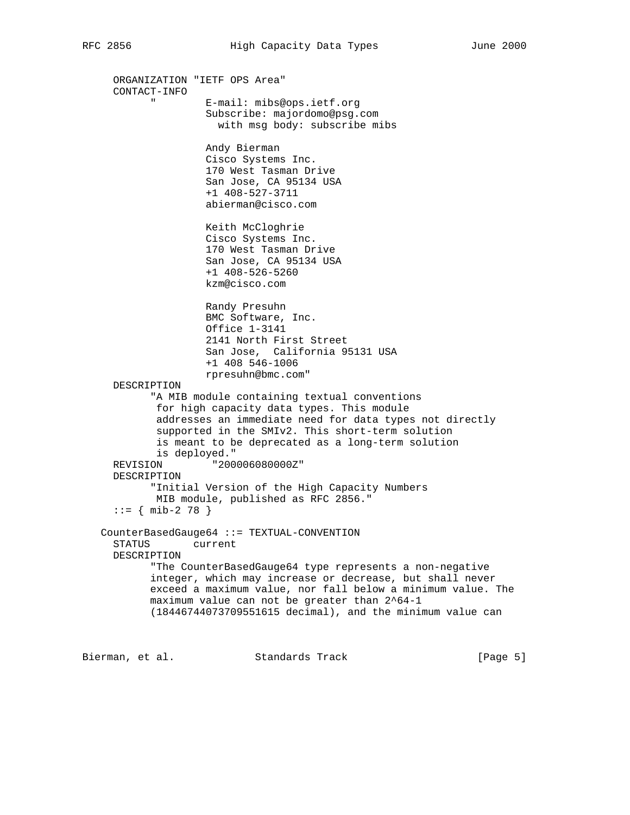ORGANIZATION "IETF OPS Area" CONTACT-INFO " E-mail: mibs@ops.ietf.org Subscribe: majordomo@psg.com with msg body: subscribe mibs Andy Bierman Cisco Systems Inc. 170 West Tasman Drive San Jose, CA 95134 USA +1 408-527-3711 abierman@cisco.com Keith McCloghrie Cisco Systems Inc. 170 West Tasman Drive San Jose, CA 95134 USA +1 408-526-5260 kzm@cisco.com Randy Presuhn BMC Software, Inc. Office 1-3141 2141 North First Street San Jose, California 95131 USA +1 408 546-1006 rpresuhn@bmc.com" DESCRIPTION "A MIB module containing textual conventions for high capacity data types. This module addresses an immediate need for data types not directly supported in the SMIv2. This short-term solution is meant to be deprecated as a long-term solution is deployed." REVISION "200006080000Z" DESCRIPTION "Initial Version of the High Capacity Numbers MIB module, published as RFC 2856."  $::=$  { mib-2 78 } CounterBasedGauge64 ::= TEXTUAL-CONVENTION STATUS current DESCRIPTION "The CounterBasedGauge64 type represents a non-negative integer, which may increase or decrease, but shall never exceed a maximum value, nor fall below a minimum value. The maximum value can not be greater than 2^64-1 (18446744073709551615 decimal), and the minimum value can

Bierman, et al. Standards Track [Page 5]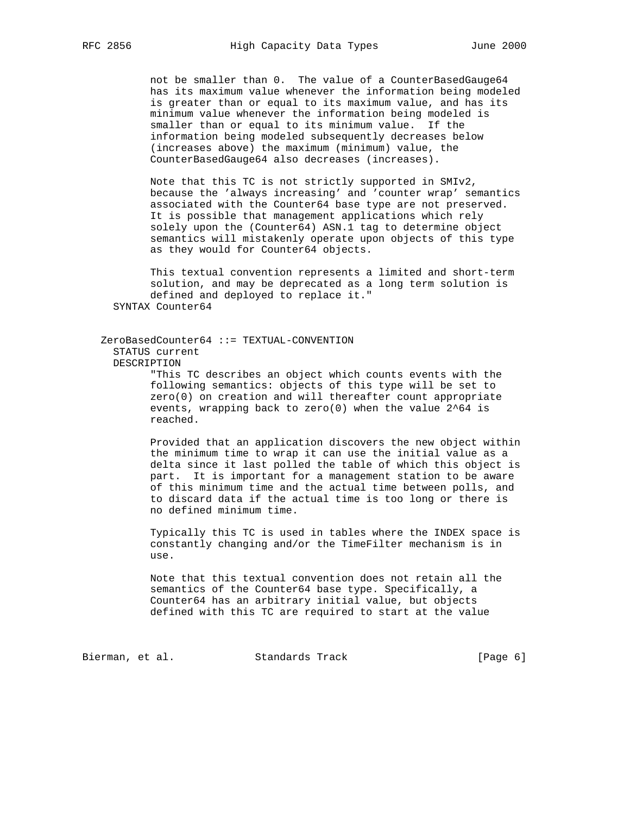not be smaller than 0. The value of a CounterBasedGauge64 has its maximum value whenever the information being modeled is greater than or equal to its maximum value, and has its minimum value whenever the information being modeled is smaller than or equal to its minimum value. If the information being modeled subsequently decreases below (increases above) the maximum (minimum) value, the CounterBasedGauge64 also decreases (increases).

 Note that this TC is not strictly supported in SMIv2, because the 'always increasing' and 'counter wrap' semantics associated with the Counter64 base type are not preserved. It is possible that management applications which rely solely upon the (Counter64) ASN.1 tag to determine object semantics will mistakenly operate upon objects of this type as they would for Counter64 objects.

 This textual convention represents a limited and short-term solution, and may be deprecated as a long term solution is defined and deployed to replace it." SYNTAX Counter64

 ZeroBasedCounter64 ::= TEXTUAL-CONVENTION STATUS current DESCRIPTION "This TC describes an object which counts events with the

 following semantics: objects of this type will be set to zero(0) on creation and will thereafter count appropriate events, wrapping back to zero(0) when the value 2^64 is reached.

 Provided that an application discovers the new object within the minimum time to wrap it can use the initial value as a delta since it last polled the table of which this object is part. It is important for a management station to be aware of this minimum time and the actual time between polls, and to discard data if the actual time is too long or there is no defined minimum time.

 Typically this TC is used in tables where the INDEX space is constantly changing and/or the TimeFilter mechanism is in use.

 Note that this textual convention does not retain all the semantics of the Counter64 base type. Specifically, a Counter64 has an arbitrary initial value, but objects defined with this TC are required to start at the value

Bierman, et al. Standards Track [Page 6]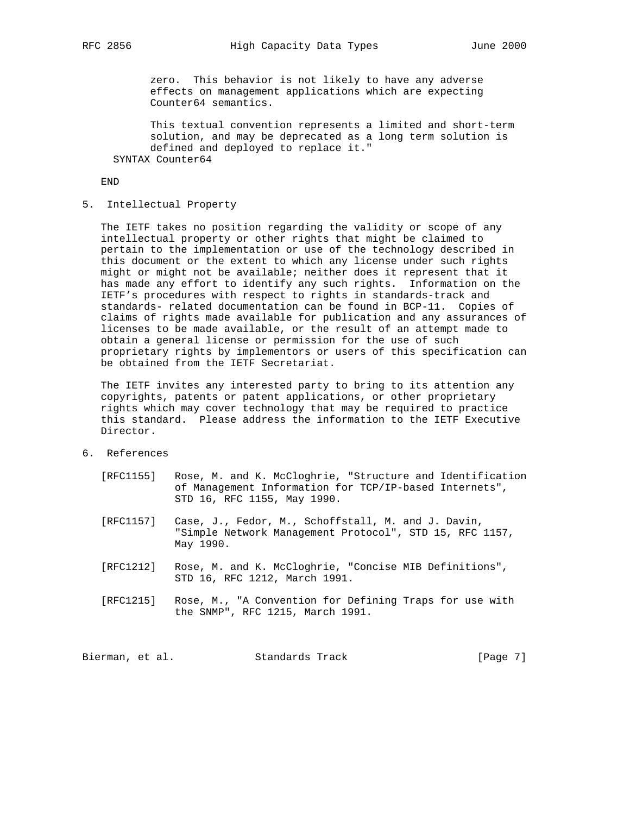zero. This behavior is not likely to have any adverse effects on management applications which are expecting Counter64 semantics.

 This textual convention represents a limited and short-term solution, and may be deprecated as a long term solution is defined and deployed to replace it." SYNTAX Counter64

END

5. Intellectual Property

 The IETF takes no position regarding the validity or scope of any intellectual property or other rights that might be claimed to pertain to the implementation or use of the technology described in this document or the extent to which any license under such rights might or might not be available; neither does it represent that it has made any effort to identify any such rights. Information on the IETF's procedures with respect to rights in standards-track and standards- related documentation can be found in BCP-11. Copies of claims of rights made available for publication and any assurances of licenses to be made available, or the result of an attempt made to obtain a general license or permission for the use of such proprietary rights by implementors or users of this specification can be obtained from the IETF Secretariat.

 The IETF invites any interested party to bring to its attention any copyrights, patents or patent applications, or other proprietary rights which may cover technology that may be required to practice this standard. Please address the information to the IETF Executive Director.

6. References

| [RFC1155] | Rose, M. and K. McCloghrie, "Structure and Identification<br>of Management Information for TCP/IP-based Internets",<br>STD 16, RFC 1155, May 1990. |
|-----------|----------------------------------------------------------------------------------------------------------------------------------------------------|
| [RFC1157] | Case, J., Fedor, M., Schoffstall, M. and J. Davin,<br>"Simple Network Management Protocol", STD 15, RFC 1157,<br>May 1990.                         |
| [RFC1212] | Rose, M. and K. McCloghrie, "Concise MIB Definitions",<br>STD 16, RFC 1212, March 1991.                                                            |
| [RFC1215] | Rose, M., "A Convention for Defining Traps for use with<br>the SNMP", RFC 1215, March 1991.                                                        |

Bierman, et al. Standards Track [Page 7]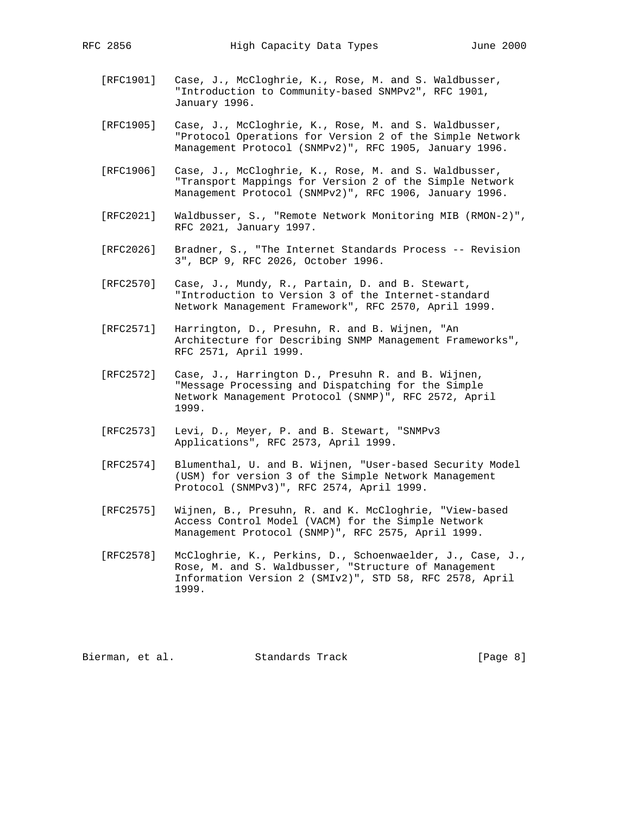- [RFC1901] Case, J., McCloghrie, K., Rose, M. and S. Waldbusser, "Introduction to Community-based SNMPv2", RFC 1901, January 1996.
- [RFC1905] Case, J., McCloghrie, K., Rose, M. and S. Waldbusser, "Protocol Operations for Version 2 of the Simple Network Management Protocol (SNMPv2)", RFC 1905, January 1996.
- [RFC1906] Case, J., McCloghrie, K., Rose, M. and S. Waldbusser, "Transport Mappings for Version 2 of the Simple Network Management Protocol (SNMPv2)", RFC 1906, January 1996.
- [RFC2021] Waldbusser, S., "Remote Network Monitoring MIB (RMON-2)", RFC 2021, January 1997.
- [RFC2026] Bradner, S., "The Internet Standards Process -- Revision 3", BCP 9, RFC 2026, October 1996.
- [RFC2570] Case, J., Mundy, R., Partain, D. and B. Stewart, "Introduction to Version 3 of the Internet-standard Network Management Framework", RFC 2570, April 1999.
- [RFC2571] Harrington, D., Presuhn, R. and B. Wijnen, "An Architecture for Describing SNMP Management Frameworks", RFC 2571, April 1999.
- [RFC2572] Case, J., Harrington D., Presuhn R. and B. Wijnen, "Message Processing and Dispatching for the Simple Network Management Protocol (SNMP)", RFC 2572, April 1999.
- [RFC2573] Levi, D., Meyer, P. and B. Stewart, "SNMPv3 Applications", RFC 2573, April 1999.
- [RFC2574] Blumenthal, U. and B. Wijnen, "User-based Security Model (USM) for version 3 of the Simple Network Management Protocol (SNMPv3)", RFC 2574, April 1999.
- [RFC2575] Wijnen, B., Presuhn, R. and K. McCloghrie, "View-based Access Control Model (VACM) for the Simple Network Management Protocol (SNMP)", RFC 2575, April 1999.
- [RFC2578] McCloghrie, K., Perkins, D., Schoenwaelder, J., Case, J., Rose, M. and S. Waldbusser, "Structure of Management Information Version 2 (SMIv2)", STD 58, RFC 2578, April 1999.

Bierman, et al. Standards Track [Page 8]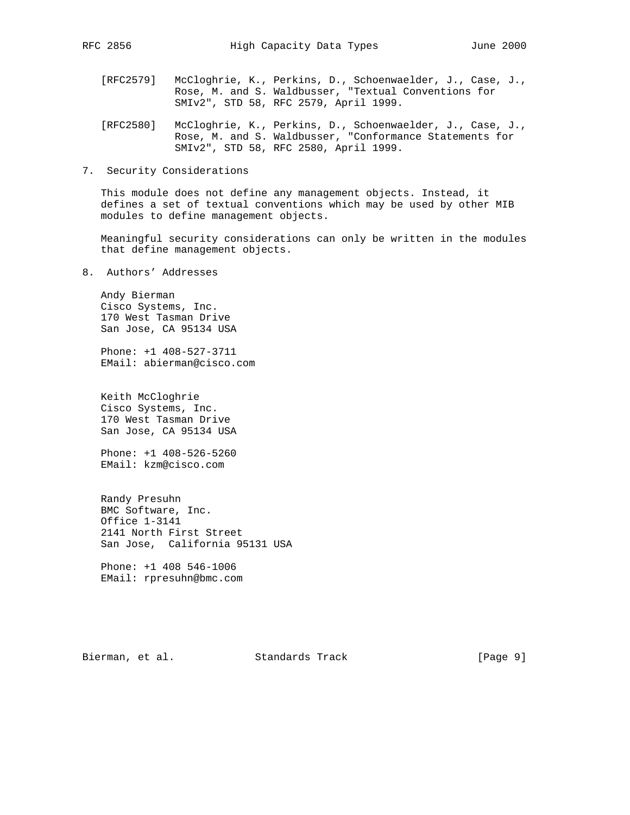- 
- [RFC2579] McCloghrie, K., Perkins, D., Schoenwaelder, J., Case, J., Rose, M. and S. Waldbusser, "Textual Conventions for SMIv2", STD 58, RFC 2579, April 1999.
- [RFC2580] McCloghrie, K., Perkins, D., Schoenwaelder, J., Case, J., Rose, M. and S. Waldbusser, "Conformance Statements for SMIv2", STD 58, RFC 2580, April 1999.
- 7. Security Considerations

 This module does not define any management objects. Instead, it defines a set of textual conventions which may be used by other MIB modules to define management objects.

 Meaningful security considerations can only be written in the modules that define management objects.

8. Authors' Addresses

 Andy Bierman Cisco Systems, Inc. 170 West Tasman Drive San Jose, CA 95134 USA

 Phone: +1 408-527-3711 EMail: abierman@cisco.com

 Keith McCloghrie Cisco Systems, Inc. 170 West Tasman Drive San Jose, CA 95134 USA

 Phone: +1 408-526-5260 EMail: kzm@cisco.com

 Randy Presuhn BMC Software, Inc. Office 1-3141 2141 North First Street San Jose, California 95131 USA

 Phone: +1 408 546-1006 EMail: rpresuhn@bmc.com

Bierman, et al. Standards Track [Page 9]